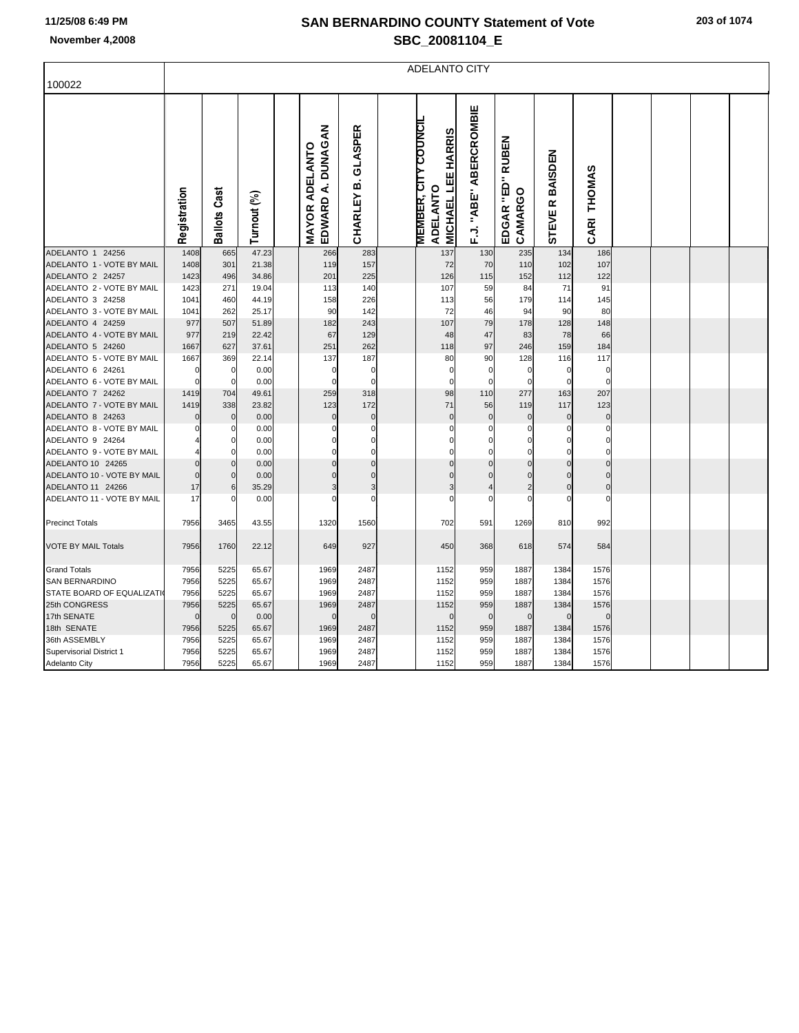## **SAN BERNARDINO COUNTY Statement of Vote November 4,2008 SBC\_20081104\_E**

|                                               | <b>ADELANTO CITY</b> |                            |               |  |                                            |                            |  |                                                                             |                                |                                       |                                     |                         |  |  |  |
|-----------------------------------------------|----------------------|----------------------------|---------------|--|--------------------------------------------|----------------------------|--|-----------------------------------------------------------------------------|--------------------------------|---------------------------------------|-------------------------------------|-------------------------|--|--|--|
| 100022                                        |                      |                            |               |  |                                            |                            |  |                                                                             |                                |                                       |                                     |                         |  |  |  |
|                                               |                      |                            |               |  |                                            |                            |  |                                                                             |                                |                                       |                                     |                         |  |  |  |
|                                               | Registration         | <b>Ballots Cast</b>        | Turnout (%)   |  | EDWARD A. DUNAGAN<br><b>MAYOR ADELANTO</b> | CHARLEY B. GLASPER         |  | <b>MEMBER, CITY COUNCIL</b><br><b>MICHAEL LEE HARRIS</b><br><b>ADELANTO</b> | "ABE" ABERCROMBIE<br>$\vec{c}$ | <b>RUBEN</b><br>EDGAR "ED"<br>CAMARGO | BAISDEN<br>$\alpha$<br><b>STEVE</b> | CARI THOMAS             |  |  |  |
| ADELANTO 1 24256                              | 1408                 | 665                        | 47.23         |  | 266                                        | 283                        |  | 137                                                                         | 130                            | 235                                   | 134                                 | 186                     |  |  |  |
| ADELANTO 1 - VOTE BY MAIL                     | 1408                 | 301                        | 21.38         |  | 119                                        | 157                        |  | 72                                                                          | 70                             | 110                                   | 102                                 | 107                     |  |  |  |
| ADELANTO 2 24257                              | 1423                 | 496                        | 34.86         |  | 201                                        | 225                        |  | 126                                                                         | 115                            | 152                                   | 112                                 | 122                     |  |  |  |
| ADELANTO 2 - VOTE BY MAIL                     | 1423                 | 271                        | 19.04         |  | 113                                        | 140                        |  | 107                                                                         | 59                             | 84                                    | 71                                  | 91                      |  |  |  |
| ADELANTO 3 24258                              | 1041                 | 460                        | 44.19         |  | 158                                        | 226                        |  | 113                                                                         | 56                             | 179                                   | 114                                 | 145                     |  |  |  |
| ADELANTO 3 - VOTE BY MAIL                     | 1041                 | 262                        | 25.17         |  | 90                                         | 142                        |  | 72                                                                          | 46                             | 94                                    | 90                                  | 80                      |  |  |  |
| ADELANTO 4 24259                              | 977                  | 507                        | 51.89         |  | 182                                        | 243                        |  | 107                                                                         | 79                             | 178                                   | 128                                 | 148                     |  |  |  |
| ADELANTO 4 - VOTE BY MAIL                     | 977                  | 219                        | 22.42         |  | 67                                         | 129                        |  | 48                                                                          | 47                             | 83                                    | 78                                  | 66                      |  |  |  |
| ADELANTO 5 24260                              | 1667                 | 627                        | 37.61         |  | 251                                        | 262                        |  | 118                                                                         | 97                             | 246                                   | 159                                 | 184                     |  |  |  |
| ADELANTO 5 - VOTE BY MAIL                     | 1667                 | 369                        | 22.14         |  | 137                                        | 187                        |  | 80                                                                          | 90                             | 128                                   | 116                                 | 117                     |  |  |  |
| ADELANTO 6 24261                              | $\Omega$<br>r        | $\mathbf 0$<br>$\mathbf 0$ | 0.00          |  | $\mathbf 0$<br>$\Omega$                    | $\mathbf 0$<br>$\mathbf 0$ |  | $\mathbf 0$<br>$\mathbf 0$                                                  | $\mathbf 0$<br>$\mathbf 0$     | $\mathbf 0$<br>$\Omega$               | $\mathbf 0$<br>$\Omega$             | $\mathbf 0$<br>$\Omega$ |  |  |  |
| ADELANTO 6 - VOTE BY MAIL<br>ADELANTO 7 24262 | 1419                 | 704                        | 0.00<br>49.61 |  | 259                                        | 318                        |  | 98                                                                          | 110                            | 277                                   | 163                                 | 207                     |  |  |  |
| ADELANTO 7 - VOTE BY MAIL                     | 1419                 | 338                        | 23.82         |  | 123                                        | 172                        |  | 71                                                                          | 56                             | 119                                   | 117                                 | 123                     |  |  |  |
| ADELANTO 8 24263                              |                      | $\mathbf 0$                | 0.00          |  | $\Omega$                                   | $\mathbf 0$                |  | $\mathbf 0$                                                                 | $\mathbf 0$                    | C                                     | $\mathbf 0$                         | $\mathbf 0$             |  |  |  |
| ADELANTO 8 - VOTE BY MAIL                     |                      | 0                          | 0.00          |  | 0                                          | 0                          |  | $\Omega$                                                                    | 0                              | C                                     | C                                   | $\Omega$                |  |  |  |
| ADELANTO 9 24264                              |                      | $\Omega$                   | 0.00          |  | O                                          | $\mathbf 0$                |  | $\Omega$                                                                    | 0                              | C                                     |                                     |                         |  |  |  |
| ADELANTO 9 - VOTE BY MAIL                     |                      | $\Omega$                   | 0.00          |  | $\Omega$                                   | $\mathbf 0$                |  | 0                                                                           | $\Omega$                       | C                                     | $\Omega$                            | $\Omega$                |  |  |  |
| ADELANTO 10 24265                             |                      | $\Omega$                   | 0.00          |  | $\Omega$                                   | $\mathbf 0$                |  | $\Omega$                                                                    | $\Omega$                       | $\sqrt{ }$                            |                                     | $\Omega$                |  |  |  |
| ADELANTO 10 - VOTE BY MAIL                    |                      | $\mathbf 0$                | 0.00          |  | $\mathbf 0$                                | $\mathbf 0$                |  | $\Omega$                                                                    | $\Omega$                       | C                                     | $\Omega$                            | $\Omega$                |  |  |  |
| ADELANTO 11 24266                             | 17                   | 6                          | 35.29         |  | 3                                          | 3                          |  | 3                                                                           | $\overline{4}$                 | 2                                     | $\Omega$                            | $\mathbf 0$             |  |  |  |
| ADELANTO 11 - VOTE BY MAIL                    | 17                   | $\mathbf 0$                | 0.00          |  | 0                                          | $\mathbf 0$                |  | $\Omega$                                                                    | $\mathbf 0$                    | $\epsilon$                            | $\Omega$                            | $\Omega$                |  |  |  |
| <b>Precinct Totals</b>                        | 7956                 |                            |               |  | 1320                                       | 1560                       |  | 702                                                                         |                                |                                       |                                     | 992                     |  |  |  |
|                                               |                      | 3465                       | 43.55         |  |                                            |                            |  |                                                                             | 591                            | 1269                                  | 810                                 |                         |  |  |  |
| <b>VOTE BY MAIL Totals</b>                    | 7956                 | 1760                       | 22.12         |  | 649                                        | 927                        |  | 450                                                                         | 368                            | 618                                   | 574                                 | 584                     |  |  |  |
| <b>Grand Totals</b>                           | 7956                 | 5225                       | 65.67         |  | 1969                                       | 2487                       |  | 1152                                                                        | 959                            | 1887                                  | 1384                                | 1576                    |  |  |  |
| <b>SAN BERNARDINO</b>                         | 7956                 | 5225                       | 65.67         |  | 1969                                       | 2487                       |  | 1152                                                                        | 959                            | 1887                                  | 1384                                | 1576                    |  |  |  |
| STATE BOARD OF EQUALIZATI                     | 7956                 | 5225                       | 65.67         |  | 1969                                       | 2487                       |  | 1152                                                                        | 959                            | 1887                                  | 1384                                | 1576                    |  |  |  |
| 25th CONGRESS                                 | 7956                 | 5225                       | 65.67         |  | 1969                                       | 2487                       |  | 1152                                                                        | 959                            | 1887                                  | 1384                                | 1576                    |  |  |  |
| 17th SENATE                                   | $\Omega$             | $\Omega$                   | 0.00          |  | $\mathbf 0$                                | $\mathbf 0$                |  | $\Omega$                                                                    | $\mathbf 0$                    | $\mathcal{C}$                         | $\mathbf 0$                         | $\Omega$                |  |  |  |
| 18th SENATE                                   | 7956                 | 5225                       | 65.67         |  | 1969                                       | 2487                       |  | 1152                                                                        | 959                            | 1887                                  | 1384                                | 1576                    |  |  |  |
| 36th ASSEMBLY                                 | 7956                 | 5225                       | 65.67         |  | 1969                                       | 2487                       |  | 1152                                                                        | 959                            | 1887                                  | 1384                                | 1576                    |  |  |  |
| Supervisorial District 1                      | 7956                 | 5225                       | 65.67         |  | 1969                                       | 2487                       |  | 1152                                                                        | 959                            | 1887                                  | 1384                                | 1576                    |  |  |  |
| <b>Adelanto City</b>                          | 7956                 | 5225                       | 65.67         |  | 1969                                       | 2487                       |  | 1152                                                                        | 959                            | 1887                                  | 1384                                | 1576                    |  |  |  |